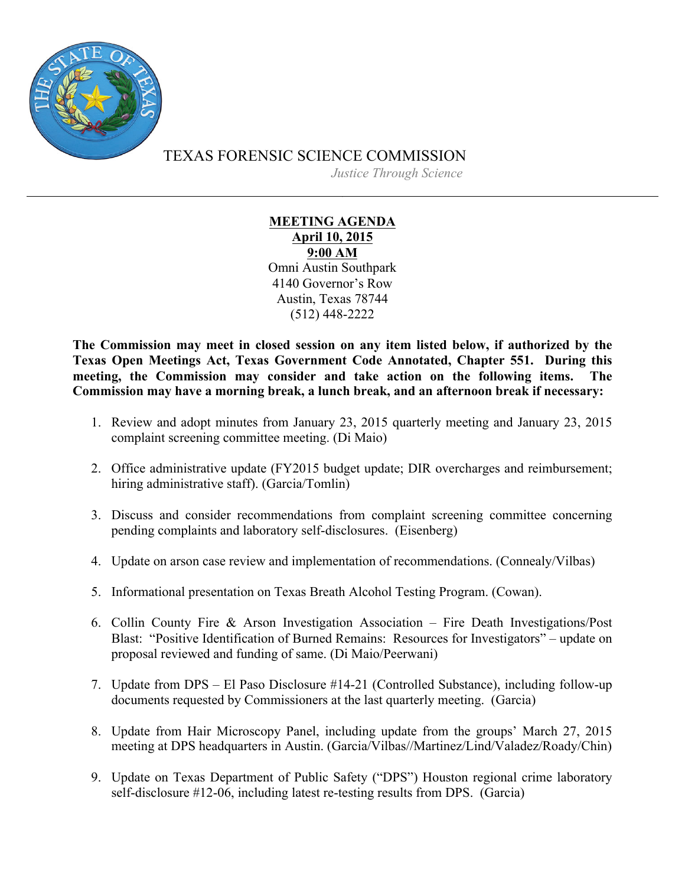

TEXAS FORENSIC SCIENCE COMMISSION

*Justice Through Science*

## **MEETING AGENDA April 10, 2015 9:00 AM** Omni Austin Southpark 4140 Governor's Row Austin, Texas 78744 (512) 448-2222

**The Commission may meet in closed session on any item listed below, if authorized by the Texas Open Meetings Act, Texas Government Code Annotated, Chapter 551. During this meeting, the Commission may consider and take action on the following items. The Commission may have a morning break, a lunch break, and an afternoon break if necessary:**

- 1. Review and adopt minutes from January 23, 2015 quarterly meeting and January 23, 2015 complaint screening committee meeting. (Di Maio)
- 2. Office administrative update (FY2015 budget update; DIR overcharges and reimbursement; hiring administrative staff). (Garcia/Tomlin)
- 3. Discuss and consider recommendations from complaint screening committee concerning pending complaints and laboratory self-disclosures. (Eisenberg)
- 4. Update on arson case review and implementation of recommendations. (Connealy/Vilbas)
- 5. Informational presentation on Texas Breath Alcohol Testing Program. (Cowan).
- 6. Collin County Fire & Arson Investigation Association Fire Death Investigations/Post Blast: "Positive Identification of Burned Remains: Resources for Investigators" – update on proposal reviewed and funding of same. (Di Maio/Peerwani)
- 7. Update from DPS El Paso Disclosure #14-21 (Controlled Substance), including follow-up documents requested by Commissioners at the last quarterly meeting. (Garcia)
- 8. Update from Hair Microscopy Panel, including update from the groups' March 27, 2015 meeting at DPS headquarters in Austin. (Garcia/Vilbas//Martinez/Lind/Valadez/Roady/Chin)
- 9. Update on Texas Department of Public Safety ("DPS") Houston regional crime laboratory self-disclosure #12-06, including latest re-testing results from DPS. (Garcia)